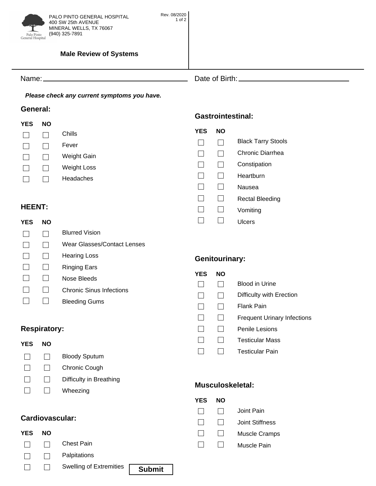

## **Male Review of Systems**

Name: Date of Birth:

*Please check any current symptoms you have.*

### General: **General:**

| YES | NΟ |                    |
|-----|----|--------------------|
|     |    | Chills             |
|     |    | Fever              |
|     |    | Weight Gain        |
|     |    | <b>Weight Loss</b> |
|     |    | Headaches          |
|     |    |                    |

# HFFNT·

| .          |           |                                 |            |   |
|------------|-----------|---------------------------------|------------|---|
| <b>YES</b> | <b>NO</b> |                                 |            |   |
|            |           | <b>Blurred Vision</b>           |            |   |
|            |           | Wear Glasses/Contact Lenses     |            |   |
|            |           | <b>Hearing Loss</b>             | Genito     |   |
|            |           | <b>Ringing Ears</b>             |            |   |
|            |           | Nose Bleeds                     | <b>YES</b> | N |
|            |           | <b>Chronic Sinus Infections</b> |            |   |
|            |           | <b>Bleeding Gums</b>            |            |   |
|            |           |                                 |            |   |

# **Respiratory:**

| <b>YES</b> | NΟ |                         |
|------------|----|-------------------------|
|            |    | <b>Bloody Sputum</b>    |
|            |    | Chronic Cough           |
|            |    | Difficulty in Breathing |
|            |    | Wheezing                |
|            |    |                         |

| <b>YES</b> | <b>NO</b> |                         |               |  |
|------------|-----------|-------------------------|---------------|--|
|            |           | <b>Chest Pain</b>       |               |  |
|            |           | Palpitations            |               |  |
|            |           | Swelling of Extremities | <b>Submit</b> |  |

### **Gastrointestinal: Gastrointestinal:**

| YES | NΟ |                           |
|-----|----|---------------------------|
|     |    | <b>Black Tarry Stools</b> |
|     |    | Chronic Diarrhea          |
|     |    | Constipation              |
|     |    | Heartburn                 |
|     |    | Nausea                    |
|     |    | <b>Rectal Bleeding</b>    |
|     |    | Vomiting                  |
|     |    | Ulcers                    |
|     |    |                           |

# **durinary:**

| YES | NΟ |                                    |
|-----|----|------------------------------------|
|     |    | Blood in Urine                     |
|     |    | Difficulty with Erection           |
|     |    | Flank Pain                         |
|     |    | <b>Frequent Urinary Infections</b> |
|     |    | Penile Lesions                     |
|     |    | <b>Testicular Mass</b>             |
|     |    | <b>Testicular Pain</b>             |
|     |    |                                    |

# **Musculoskeletal:**

| YES | NΟ |                      |
|-----|----|----------------------|
|     |    | Joint Pain           |
|     |    | Joint Stiffness      |
|     |    | <b>Muscle Cramps</b> |
|     |    | Muscle Pain          |
|     |    |                      |